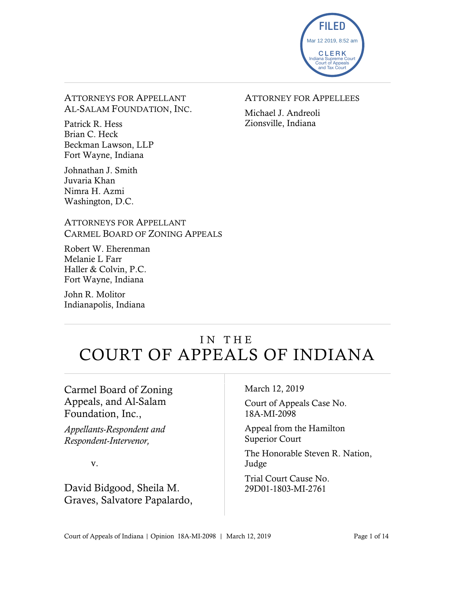

ATTORNEYS FOR APPELLANT AL-SALAM FOUNDATION, INC.

Patrick R. Hess Brian C. Heck Beckman Lawson, LLP Fort Wayne, Indiana

Johnathan J. Smith Juvaria Khan Nimra H. Azmi Washington, D.C.

#### ATTORNEYS FOR APPELLANT CARMEL BOARD OF ZONING APPEALS

Robert W. Eherenman Melanie L Farr Haller & Colvin, P.C. Fort Wayne, Indiana

John R. Molitor Indianapolis, Indiana

### ATTORNEY FOR APPELLEES

Michael J. Andreoli Zionsville, Indiana

# IN THE COURT OF APPEALS OF INDIANA

Carmel Board of Zoning Appeals, and Al-Salam Foundation, Inc.,

*Appellants-Respondent and Respondent-Intervenor,*

v.

David Bidgood, Sheila M. Graves, Salvatore Papalardo,

#### March 12, 2019

Court of Appeals Case No. 18A-MI-2098

Appeal from the Hamilton Superior Court

The Honorable Steven R. Nation, Judge

Trial Court Cause No. 29D01-1803-MI-2761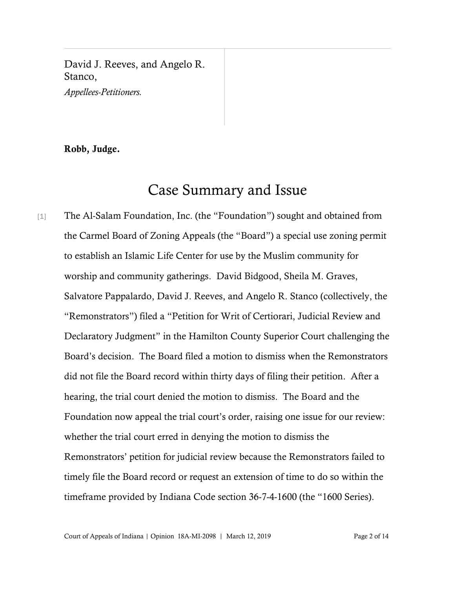David J. Reeves, and Angelo R. Stanco,

*Appellees-Petitioners.*

#### Robb, Judge.

# Case Summary and Issue

[1] The Al-Salam Foundation, Inc. (the "Foundation") sought and obtained from the Carmel Board of Zoning Appeals (the "Board") a special use zoning permit to establish an Islamic Life Center for use by the Muslim community for worship and community gatherings. David Bidgood, Sheila M. Graves, Salvatore Pappalardo, David J. Reeves, and Angelo R. Stanco (collectively, the "Remonstrators") filed a "Petition for Writ of Certiorari, Judicial Review and Declaratory Judgment" in the Hamilton County Superior Court challenging the Board's decision. The Board filed a motion to dismiss when the Remonstrators did not file the Board record within thirty days of filing their petition. After a hearing, the trial court denied the motion to dismiss. The Board and the Foundation now appeal the trial court's order, raising one issue for our review: whether the trial court erred in denying the motion to dismiss the Remonstrators' petition for judicial review because the Remonstrators failed to timely file the Board record or request an extension of time to do so within the timeframe provided by Indiana Code section 36-7-4-1600 (the "1600 Series).

Court of Appeals of Indiana | Opinion 18A-MI-2098 | March 12, 2019 Page 2 of 14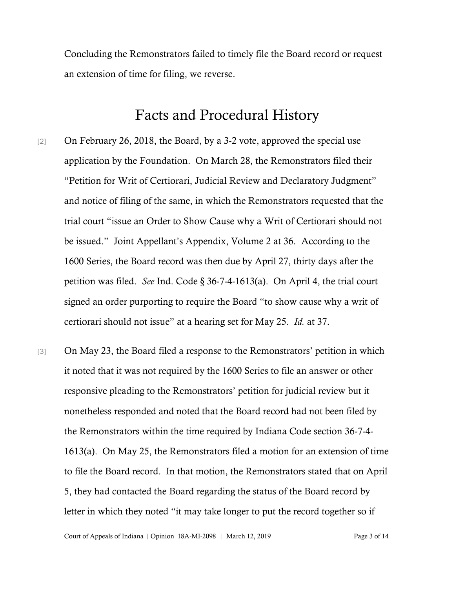Concluding the Remonstrators failed to timely file the Board record or request an extension of time for filing, we reverse.

## Facts and Procedural History

- [2] On February 26, 2018, the Board, by a 3-2 vote, approved the special use application by the Foundation. On March 28, the Remonstrators filed their "Petition for Writ of Certiorari, Judicial Review and Declaratory Judgment" and notice of filing of the same, in which the Remonstrators requested that the trial court "issue an Order to Show Cause why a Writ of Certiorari should not be issued." Joint Appellant's Appendix, Volume 2 at 36. According to the 1600 Series, the Board record was then due by April 27, thirty days after the petition was filed. *See* Ind. Code § 36-7-4-1613(a). On April 4, the trial court signed an order purporting to require the Board "to show cause why a writ of certiorari should not issue" at a hearing set for May 25. *Id.* at 37.
- [3] On May 23, the Board filed a response to the Remonstrators' petition in which it noted that it was not required by the 1600 Series to file an answer or other responsive pleading to the Remonstrators' petition for judicial review but it nonetheless responded and noted that the Board record had not been filed by the Remonstrators within the time required by Indiana Code section 36-7-4- 1613(a). On May 25, the Remonstrators filed a motion for an extension of time to file the Board record. In that motion, the Remonstrators stated that on April 5, they had contacted the Board regarding the status of the Board record by letter in which they noted "it may take longer to put the record together so if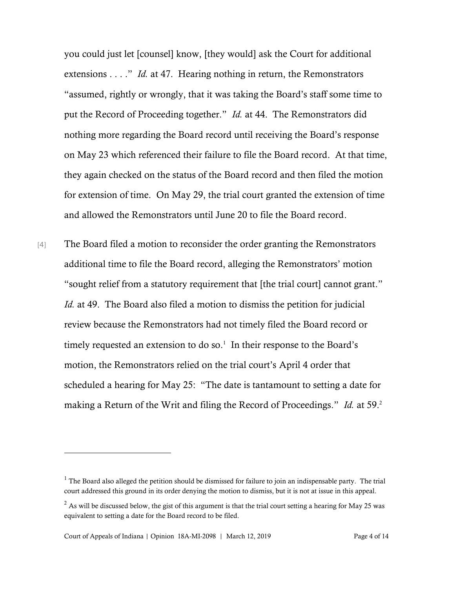you could just let [counsel] know, [they would] ask the Court for additional extensions . . . ." *Id.* at 47. Hearing nothing in return, the Remonstrators "assumed, rightly or wrongly, that it was taking the Board's staff some time to put the Record of Proceeding together." *Id.* at 44. The Remonstrators did nothing more regarding the Board record until receiving the Board's response on May 23 which referenced their failure to file the Board record. At that time, they again checked on the status of the Board record and then filed the motion for extension of time. On May 29, the trial court granted the extension of time and allowed the Remonstrators until June 20 to file the Board record.

[4] The Board filed a motion to reconsider the order granting the Remonstrators additional time to file the Board record, alleging the Remonstrators' motion "sought relief from a statutory requirement that [the trial court] cannot grant." *Id.* at 49. The Board also filed a motion to dismiss the petition for judicial review because the Remonstrators had not timely filed the Board record or timely requested an extension to do so.<sup>1</sup> In their response to the Board's motion, the Remonstrators relied on the trial court's April 4 order that scheduled a hearing for May 25: "The date is tantamount to setting a date for making a Return of the Writ and filing the Record of Proceedings." *Id.* at 59.<sup>2</sup>

l

 $<sup>1</sup>$  The Board also alleged the petition should be dismissed for failure to join an indispensable party. The trial</sup> court addressed this ground in its order denying the motion to dismiss, but it is not at issue in this appeal.

 $2$  As will be discussed below, the gist of this argument is that the trial court setting a hearing for May 25 was equivalent to setting a date for the Board record to be filed.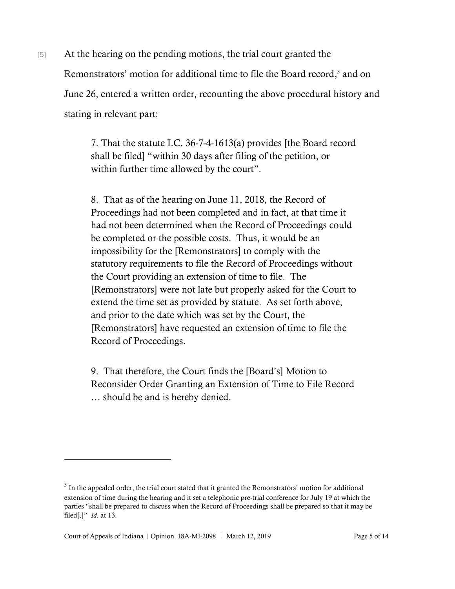[5] At the hearing on the pending motions, the trial court granted the Remonstrators' motion for additional time to file the Board record,<sup>3</sup> and on June 26, entered a written order, recounting the above procedural history and stating in relevant part:

> 7. That the statute I.C. 36-7-4-1613(a) provides [the Board record shall be filed] "within 30 days after filing of the petition, or within further time allowed by the court".

> 8. That as of the hearing on June 11, 2018, the Record of Proceedings had not been completed and in fact, at that time it had not been determined when the Record of Proceedings could be completed or the possible costs. Thus, it would be an impossibility for the [Remonstrators] to comply with the statutory requirements to file the Record of Proceedings without the Court providing an extension of time to file. The [Remonstrators] were not late but properly asked for the Court to extend the time set as provided by statute. As set forth above, and prior to the date which was set by the Court, the [Remonstrators] have requested an extension of time to file the Record of Proceedings.

9. That therefore, the Court finds the [Board's] Motion to Reconsider Order Granting an Extension of Time to File Record … should be and is hereby denied.

l

 $3$  In the appealed order, the trial court stated that it granted the Remonstrators' motion for additional extension of time during the hearing and it set a telephonic pre-trial conference for July 19 at which the parties "shall be prepared to discuss when the Record of Proceedings shall be prepared so that it may be filed[.]" *Id.* at 13.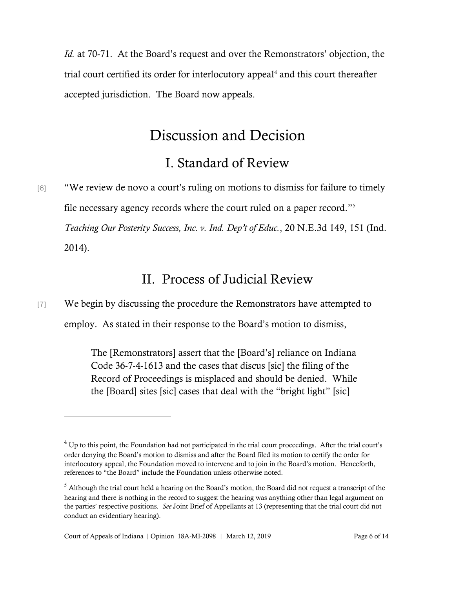*Id.* at 70-71. At the Board's request and over the Remonstrators' objection, the trial court certified its order for interlocutory appeal<sup>4</sup> and this court thereafter accepted jurisdiction. The Board now appeals.

# Discussion and Decision

## I. Standard of Review

[6] "We review de novo a court's ruling on motions to dismiss for failure to timely file necessary agency records where the court ruled on a paper record."<sup>5</sup> *Teaching Our Posterity Success, Inc. v. Ind. Dep't of Educ.*, 20 N.E.3d 149, 151 (Ind. 2014).

### II. Process of Judicial Review

[7] We begin by discussing the procedure the Remonstrators have attempted to employ. As stated in their response to the Board's motion to dismiss,

> The [Remonstrators] assert that the [Board's] reliance on Indiana Code 36-7-4-1613 and the cases that discus [sic] the filing of the Record of Proceedings is misplaced and should be denied. While the [Board] sites [sic] cases that deal with the "bright light" [sic]

 $4$  Up to this point, the Foundation had not participated in the trial court proceedings. After the trial court's order denying the Board's motion to dismiss and after the Board filed its motion to certify the order for interlocutory appeal, the Foundation moved to intervene and to join in the Board's motion. Henceforth, references to "the Board" include the Foundation unless otherwise noted.

 $<sup>5</sup>$  Although the trial court held a hearing on the Board's motion, the Board did not request a transcript of the</sup> hearing and there is nothing in the record to suggest the hearing was anything other than legal argument on the parties' respective positions. *See* Joint Brief of Appellants at 13 (representing that the trial court did not conduct an evidentiary hearing).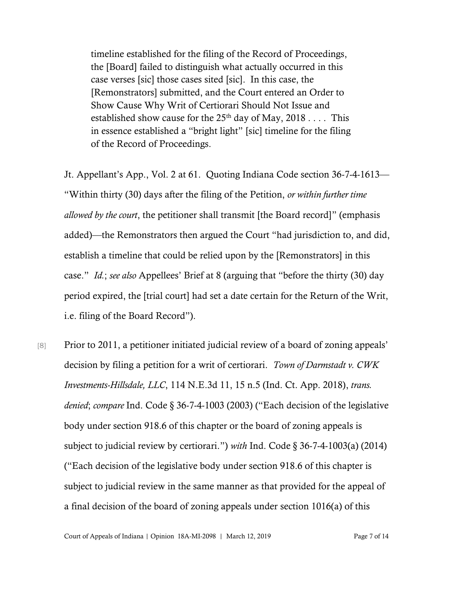timeline established for the filing of the Record of Proceedings, the [Board] failed to distinguish what actually occurred in this case verses [sic] those cases sited [sic]. In this case, the [Remonstrators] submitted, and the Court entered an Order to Show Cause Why Writ of Certiorari Should Not Issue and established show cause for the  $25<sup>th</sup>$  day of May, 2018 . . . . This in essence established a "bright light" [sic] timeline for the filing of the Record of Proceedings.

Jt. Appellant's App., Vol. 2 at 61. Quoting Indiana Code section 36-7-4-1613— "Within thirty (30) days after the filing of the Petition, *or within further time allowed by the court*, the petitioner shall transmit [the Board record]" (emphasis added)—the Remonstrators then argued the Court "had jurisdiction to, and did, establish a timeline that could be relied upon by the [Remonstrators] in this case." *Id.*; *see also* Appellees' Brief at 8 (arguing that "before the thirty (30) day period expired, the [trial court] had set a date certain for the Return of the Writ, i.e. filing of the Board Record").

[8] Prior to 2011, a petitioner initiated judicial review of a board of zoning appeals' decision by filing a petition for a writ of certiorari. *Town of Darmstadt v. CWK Investments-Hillsdale, LLC*, 114 N.E.3d 11, 15 n.5 (Ind. Ct. App. 2018), *trans. denied*; *compare* Ind. Code § 36-7-4-1003 (2003) ("Each decision of the legislative body under section 918.6 of this chapter or the board of zoning appeals is subject to judicial review by certiorari.") *with* Ind. Code § 36-7-4-1003(a) (2014) ("Each decision of the legislative body under section 918.6 of this chapter is subject to judicial review in the same manner as that provided for the appeal of a final decision of the board of zoning appeals under section 1016(a) of this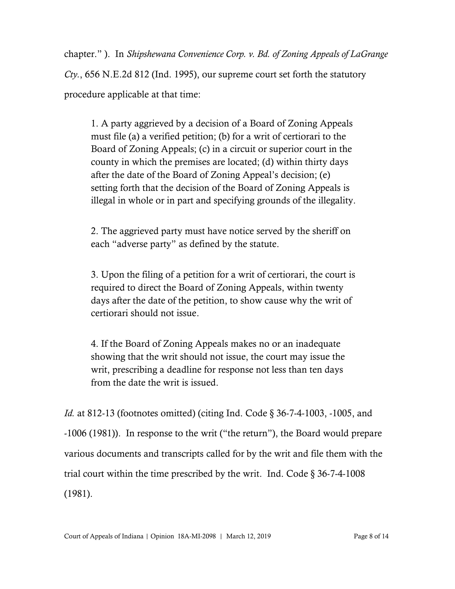chapter." ). In *Shipshewana Convenience Corp. v. Bd. of Zoning Appeals of LaGrange* 

*Cty.*, 656 N.E.2d 812 (Ind. 1995), our supreme court set forth the statutory procedure applicable at that time:

1. A party aggrieved by a decision of a Board of Zoning Appeals must file (a) a verified petition; (b) for a writ of certiorari to the Board of Zoning Appeals; (c) in a circuit or superior court in the county in which the premises are located; (d) within thirty days after the date of the Board of Zoning Appeal's decision; (e) setting forth that the decision of the Board of Zoning Appeals is illegal in whole or in part and specifying grounds of the illegality.

2. The aggrieved party must have notice served by the sheriff on each "adverse party" as defined by the statute.

3. Upon the filing of a petition for a writ of certiorari, the court is required to direct the Board of Zoning Appeals, within twenty days after the date of the petition, to show cause why the writ of certiorari should not issue.

4. If the Board of Zoning Appeals makes no or an inadequate showing that the writ should not issue, the court may issue the writ, prescribing a deadline for response not less than ten days from the date the writ is issued.

*Id.* at 812-13 (footnotes omitted) (citing Ind. Code § 36-7-4-1003, -1005, and -1006 (1981)). In response to the writ ("the return"), the Board would prepare various documents and transcripts called for by the writ and file them with the trial court within the time prescribed by the writ. Ind. Code § 36-7-4-1008 (1981).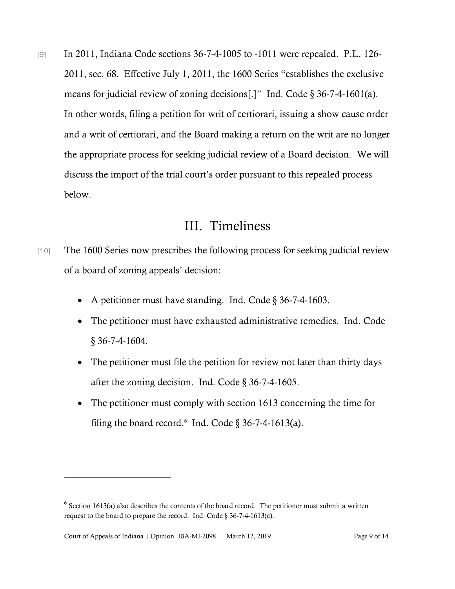[9] In 2011, Indiana Code sections 36-7-4-1005 to -1011 were repealed. P.L. 126-2011, sec. 68. Effective July 1, 2011, the 1600 Series "establishes the exclusive means for judicial review of zoning decisions[.]" Ind. Code § 36-7-4-1601(a). In other words, filing a petition for writ of certiorari, issuing a show cause order and a writ of certiorari, and the Board making a return on the writ are no longer the appropriate process for seeking judicial review of a Board decision. We will discuss the import of the trial court's order pursuant to this repealed process below.

### III. Timeliness

- [10] The 1600 Series now prescribes the following process for seeking judicial review of a board of zoning appeals' decision:
	- A petitioner must have standing. Ind. Code § 36-7-4-1603.
	- The petitioner must have exhausted administrative remedies. Ind. Code § 36-7-4-1604.
	- The petitioner must file the petition for review not later than thirty days after the zoning decision. Ind. Code  $\S$  36-7-4-1605.
	- The petitioner must comply with section 1613 concerning the time for filing the board record. $6$  Ind. Code  $\S$  36-7-4-1613(a).

 $6$  Section 1613(a) also describes the contents of the board record. The petitioner must submit a written request to the board to prepare the record. Ind. Code § 36-7-4-1613(c).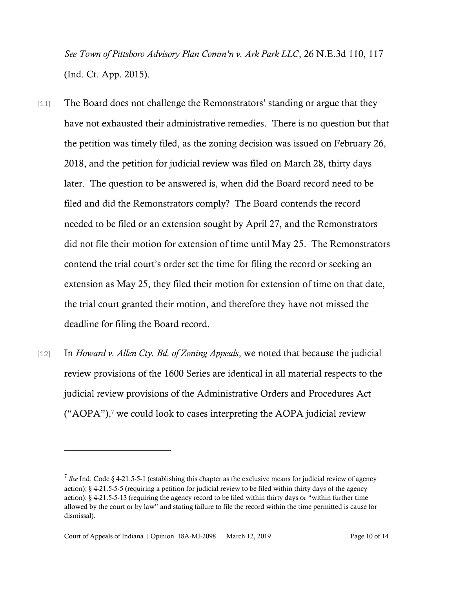*See Town of Pittsboro Advisory Plan Comm'n v. Ark Park LLC*, 26 N.E.3d 110, 117 (Ind. Ct. App. 2015).

- [11] The Board does not challenge the Remonstrators' standing or argue that they have not exhausted their administrative remedies. There is no question but that the petition was timely filed, as the zoning decision was issued on February 26, 2018, and the petition for judicial review was filed on March 28, thirty days later. The question to be answered is, when did the Board record need to be filed and did the Remonstrators comply? The Board contends the record needed to be filed or an extension sought by April 27, and the Remonstrators did not file their motion for extension of time until May 25. The Remonstrators contend the trial court's order set the time for filing the record or seeking an extension as May 25, they filed their motion for extension of time on that date, the trial court granted their motion, and therefore they have not missed the deadline for filing the Board record.
- [12] In *Howard v. Allen Cty. Bd. of Zoning Appeals*, we noted that because the judicial review provisions of the 1600 Series are identical in all material respects to the judicial review provisions of the Administrative Orders and Procedures Act ("AOPA"), <sup>7</sup> we could look to cases interpreting the AOPA judicial review

l

<sup>&</sup>lt;sup>7</sup> See Ind. Code § 4-21.5-5-1 (establishing this chapter as the exclusive means for judicial review of agency action); § 4-21.5-5-5 (requiring a petition for judicial review to be filed within thirty days of the agency action); § 4-21.5-5-13 (requiring the agency record to be filed within thirty days or "within further time allowed by the court or by law" and stating failure to file the record within the time permitted is cause for dismissal).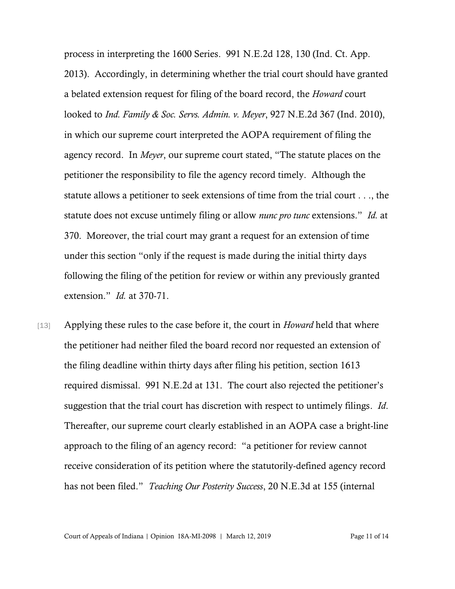process in interpreting the 1600 Series. 991 N.E.2d 128, 130 (Ind. Ct. App. 2013). Accordingly, in determining whether the trial court should have granted a belated extension request for filing of the board record, the *Howard* court looked to *Ind. Family & Soc. Servs. Admin. v. Meyer*, 927 N.E.2d 367 (Ind. 2010), in which our supreme court interpreted the AOPA requirement of filing the agency record. In *Meyer*, our supreme court stated, "The statute places on the petitioner the responsibility to file the agency record timely. Although the statute allows a petitioner to seek extensions of time from the trial court . . ., the statute does not excuse untimely filing or allow *nunc pro tunc* extensions." *Id.* at 370. Moreover, the trial court may grant a request for an extension of time under this section "only if the request is made during the initial thirty days following the filing of the petition for review or within any previously granted extension." *Id.* at 370-71.

[13] Applying these rules to the case before it, the court in *Howard* held that where the petitioner had neither filed the board record nor requested an extension of the filing deadline within thirty days after filing his petition, section 1613 required dismissal. 991 N.E.2d at 131. The court also rejected the petitioner's suggestion that the trial court has discretion with respect to untimely filings. *Id*. Thereafter, our supreme court clearly established in an AOPA case a bright-line approach to the filing of an agency record: "a petitioner for review cannot receive consideration of its petition where the statutorily-defined agency record has not been filed." *Teaching Our Posterity Success*, 20 N.E.3d at 155 (internal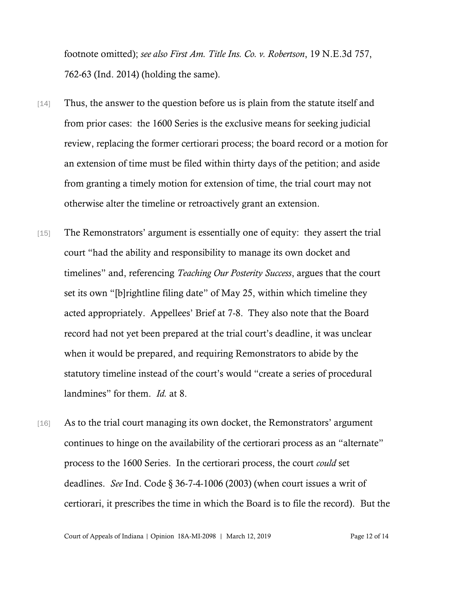footnote omitted); *see also First Am. Title Ins. Co. v. Robertson*, 19 N.E.3d 757, 762-63 (Ind. 2014) (holding the same).

- [14] Thus, the answer to the question before us is plain from the statute itself and from prior cases: the 1600 Series is the exclusive means for seeking judicial review, replacing the former certiorari process; the board record or a motion for an extension of time must be filed within thirty days of the petition; and aside from granting a timely motion for extension of time, the trial court may not otherwise alter the timeline or retroactively grant an extension.
- [15] The Remonstrators' argument is essentially one of equity: they assert the trial court "had the ability and responsibility to manage its own docket and timelines" and, referencing *Teaching Our Posterity Success*, argues that the court set its own "[b]rightline filing date" of May 25, within which timeline they acted appropriately. Appellees' Brief at 7-8. They also note that the Board record had not yet been prepared at the trial court's deadline, it was unclear when it would be prepared, and requiring Remonstrators to abide by the statutory timeline instead of the court's would "create a series of procedural landmines" for them. *Id.* at 8.
- [16] As to the trial court managing its own docket, the Remonstrators' argument continues to hinge on the availability of the certiorari process as an "alternate" process to the 1600 Series. In the certiorari process, the court *could* set deadlines. *See* Ind. Code § 36-7-4-1006 (2003) (when court issues a writ of certiorari, it prescribes the time in which the Board is to file the record). But the

Court of Appeals of Indiana | Opinion 18A-MI-2098 | March 12, 2019 Page 12 of 14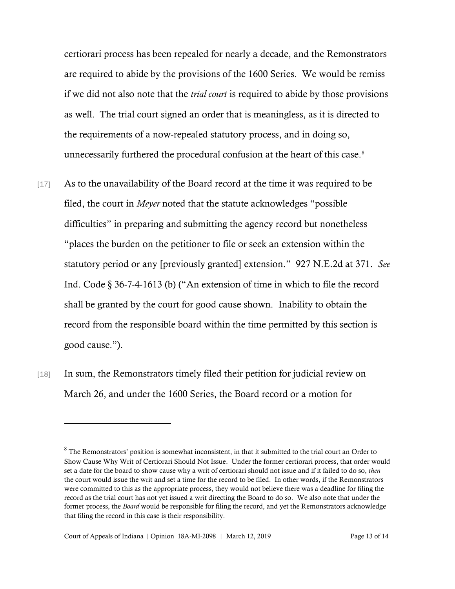certiorari process has been repealed for nearly a decade, and the Remonstrators are required to abide by the provisions of the 1600 Series. We would be remiss if we did not also note that the *trial court* is required to abide by those provisions as well. The trial court signed an order that is meaningless, as it is directed to the requirements of a now-repealed statutory process, and in doing so, unnecessarily furthered the procedural confusion at the heart of this case.<sup>8</sup>

- [17] As to the unavailability of the Board record at the time it was required to be filed, the court in *Meyer* noted that the statute acknowledges "possible difficulties" in preparing and submitting the agency record but nonetheless "places the burden on the petitioner to file or seek an extension within the statutory period or any [previously granted] extension." 927 N.E.2d at 371. *See* Ind. Code § 36-7-4-1613 (b) ("An extension of time in which to file the record shall be granted by the court for good cause shown. Inability to obtain the record from the responsible board within the time permitted by this section is good cause.").
- [18] In sum, the Remonstrators timely filed their petition for judicial review on March 26, and under the 1600 Series, the Board record or a motion for

<sup>&</sup>lt;sup>8</sup> The Remonstrators' position is somewhat inconsistent, in that it submitted to the trial court an Order to Show Cause Why Writ of Certiorari Should Not Issue. Under the former certiorari process, that order would set a date for the board to show cause why a writ of certiorari should not issue and if it failed to do so, *then* the court would issue the writ and set a time for the record to be filed. In other words, if the Remonstrators were committed to this as the appropriate process, they would not believe there was a deadline for filing the record as the trial court has not yet issued a writ directing the Board to do so. We also note that under the former process, the *Board* would be responsible for filing the record, and yet the Remonstrators acknowledge that filing the record in this case is their responsibility.